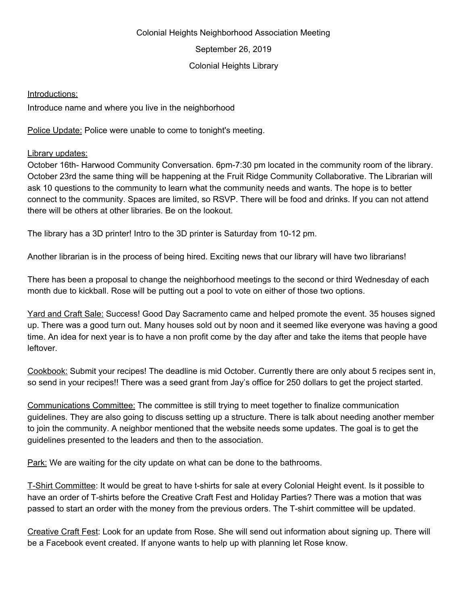## Colonial Heights Neighborhood Association Meeting

September 26, 2019

## Colonial Heights Library

## Introductions:

Introduce name and where you live in the neighborhood

Police Update: Police were unable to come to tonight's meeting.

## Library updates:

October 16th- Harwood Community Conversation. 6pm-7:30 pm located in the community room of the library. October 23rd the same thing will be happening at the Fruit Ridge Community Collaborative. The Librarian will ask 10 questions to the community to learn what the community needs and wants. The hope is to better connect to the community. Spaces are limited, so RSVP. There will be food and drinks. If you can not attend there will be others at other libraries. Be on the lookout.

The library has a 3D printer! Intro to the 3D printer is Saturday from 10-12 pm.

Another librarian is in the process of being hired. Exciting news that our library will have two librarians!

There has been a proposal to change the neighborhood meetings to the second or third Wednesday of each month due to kickball. Rose will be putting out a pool to vote on either of those two options.

Yard and Craft Sale: Success! Good Day Sacramento came and helped promote the event. 35 houses signed up. There was a good turn out. Many houses sold out by noon and it seemed like everyone was having a good time. An idea for next year is to have a non profit come by the day after and take the items that people have leftover.

Cookbook: Submit your recipes! The deadline is mid October. Currently there are only about 5 recipes sent in, so send in your recipes!! There was a seed grant from Jay's office for 250 dollars to get the project started.

Communications Committee: The committee is still trying to meet together to finalize communication guidelines. They are also going to discuss setting up a structure. There is talk about needing another member to join the community. A neighbor mentioned that the website needs some updates. The goal is to get the guidelines presented to the leaders and then to the association.

Park: We are waiting for the city update on what can be done to the bathrooms.

T-Shirt Committee: It would be great to have t-shirts for sale at every Colonial Height event. Is it possible to have an order of T-shirts before the Creative Craft Fest and Holiday Parties? There was a motion that was passed to start an order with the money from the previous orders. The T-shirt committee will be updated.

Creative Craft Fest: Look for an update from Rose. She will send out information about signing up. There will be a Facebook event created. If anyone wants to help up with planning let Rose know.